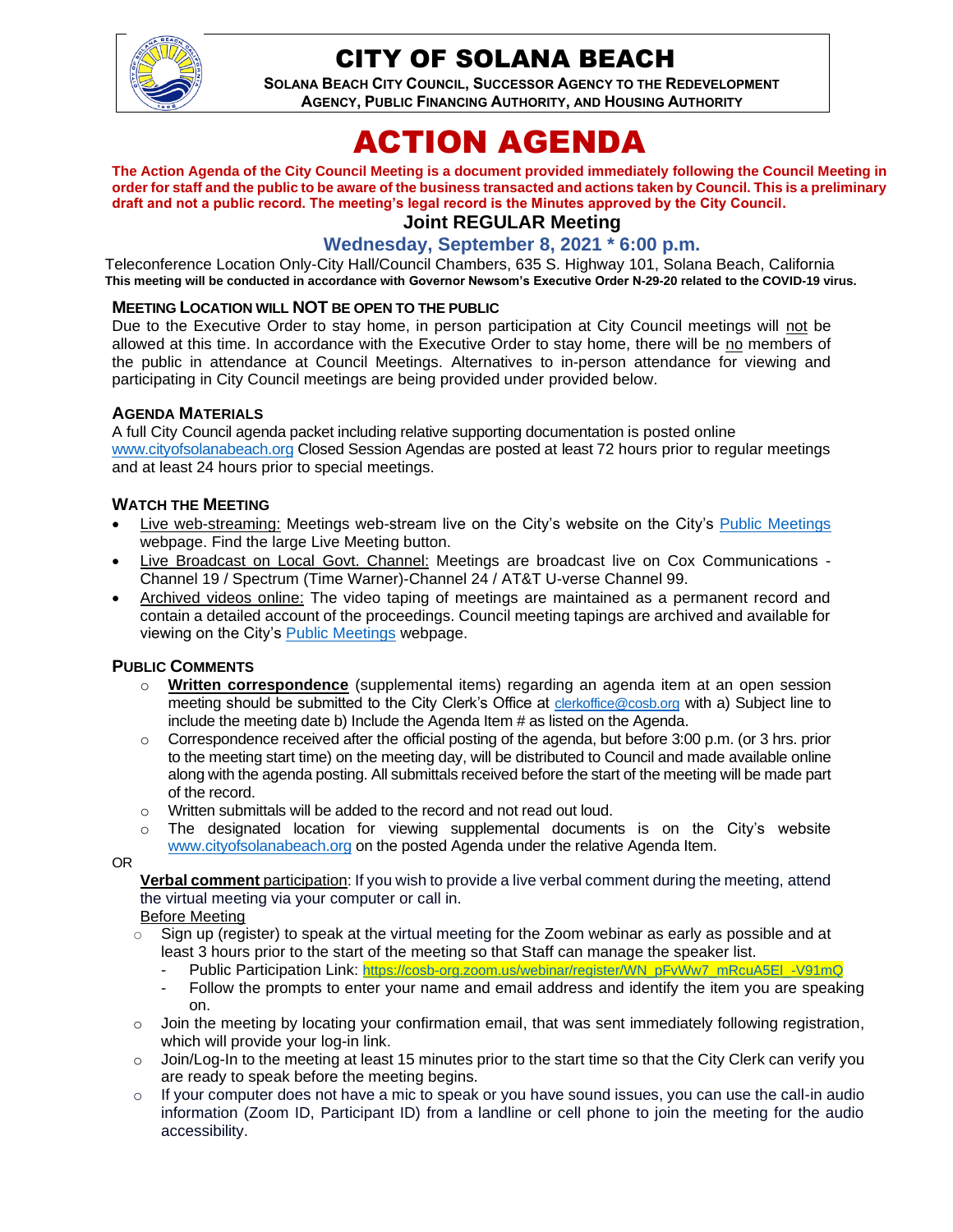

# CITY OF SOLANA BEACH

**SOLANA BEACH CITY COUNCIL, SUCCESSOR AGENCY TO THE REDEVELOPMENT AGENCY, PUBLIC FINANCING AUTHORITY, AND HOUSING AUTHORITY** 

# ACTION AGENDA

**The Action Agenda of the City Council Meeting is a document provided immediately following the Council Meeting in order for staff and the public to be aware of the business transacted and actions taken by Council. This is a preliminary draft and not a public record. The meeting's legal record is the Minutes approved by the City Council.**

# **Joint REGULAR Meeting**

# **Wednesday, September 8, 2021 \* 6:00 p.m.**

Teleconference Location Only-City Hall/Council Chambers, 635 S. Highway 101, Solana Beach, California **This meeting will be conducted in accordance with Governor Newsom's Executive Order N-29-20 related to the COVID-19 virus.**

#### **MEETING LOCATION WILL NOT BE OPEN TO THE PUBLIC**

Due to the Executive Order to stay home, in person participation at City Council meetings will not be allowed at this time. In accordance with the Executive Order to stay home, there will be no members of the public in attendance at Council Meetings. Alternatives to in-person attendance for viewing and participating in City Council meetings are being provided under provided below.

#### **AGENDA MATERIALS**

A full City Council agenda packet including relative supporting documentation is posted online [www.cityofsolanabeach.org](http://www.cityofsolanabeach.org/) Closed Session Agendas are posted at least 72 hours prior to regular meetings and at least 24 hours prior to special meetings.

#### **WATCH THE MEETING**

- Live web-streaming: Meetings web-stream live on the City's website on the City's [Public Meetings](https://urldefense.proofpoint.com/v2/url?u=https-3A__www.ci.solana-2Dbeach.ca.us_index.asp-3FSEC-3DF0F1200D-2D21C6-2D4A88-2D8AE1-2D0BC07C1A81A7-26Type-3DB-5FBASIC&d=DwMFAg&c=euGZstcaTDllvimEN8b7jXrwqOf-v5A_CdpgnVfiiMM&r=1XAsCUuqwK_tji2t0s1uIQ&m=wny2RVfZJ2tN24LkqZmkUWNpwL_peNtTZUBlTBZiMM4&s=WwpcEQpHHkFen6nS6q2waMuQ_VMZ-i1YZ60lD-dYRRE&e=) webpage. Find the large Live Meeting button.
- Live Broadcast on Local Govt. Channel: Meetings are broadcast live on Cox Communications Channel 19 / Spectrum (Time Warner)-Channel 24 / AT&T U-verse Channel 99.
- Archived videos online: The video taping of meetings are maintained as a permanent record and contain a detailed account of the proceedings. Council meeting tapings are archived and available for viewing on the City's **Public Meetings** webpage.

#### **PUBLIC COMMENTS**

- **Written correspondence** (supplemental items) regarding an agenda item at an open session meeting should be submitted to the City Clerk's Office at [clerkoffice@cosb.org](mailto:clerkoffice@cosb.org) with a) Subject line to include the meeting date b) Include the Agenda Item # as listed on the Agenda.
- $\circ$  Correspondence received after the official posting of the agenda, but before 3:00 p.m. (or 3 hrs. prior to the meeting start time) on the meeting day, will be distributed to Council and made available online along with the agenda posting. All submittals received before the start of the meeting will be made part of the record.
- o Written submittals will be added to the record and not read out loud.
- $\circ$  The designated location for viewing supplemental documents is on the City's website [www.cityofsolanabeach.org](http://www.cityofsolanabeach.org/) on the posted Agenda under the relative Agenda Item.

OR

**Verbal comment** participation: If you wish to provide a live verbal comment during the meeting, attend the virtual meeting via your computer or call in.

Before Meeting

- $\overline{\circ}$  Sign up (register) to speak at the virtual meeting for the Zoom webinar as early as possible and at least 3 hours prior to the start of the meeting so that Staff can manage the speaker list.
	- Public Participation Link: [https://cosb-org.zoom.us/webinar/register/WN\\_pFvWw7\\_mRcuA5El\\_-V91mQ](https://cosb-org.zoom.us/webinar/register/WN_pFvWw7_mRcuA5El_-V91mQ)
	- Follow the prompts to enter your name and email address and identify the item you are speaking on.
- $\circ$  Join the meeting by locating your confirmation email, that was sent immediately following registration, which will provide your log-in link.
- $\circ$  Join/Log-In to the meeting at least 15 minutes prior to the start time so that the City Clerk can verify you are ready to speak before the meeting begins.
- $\circ$  If your computer does not have a mic to speak or you have sound issues, you can use the call-in audio information (Zoom ID, Participant ID) from a landline or cell phone to join the meeting for the audio accessibility.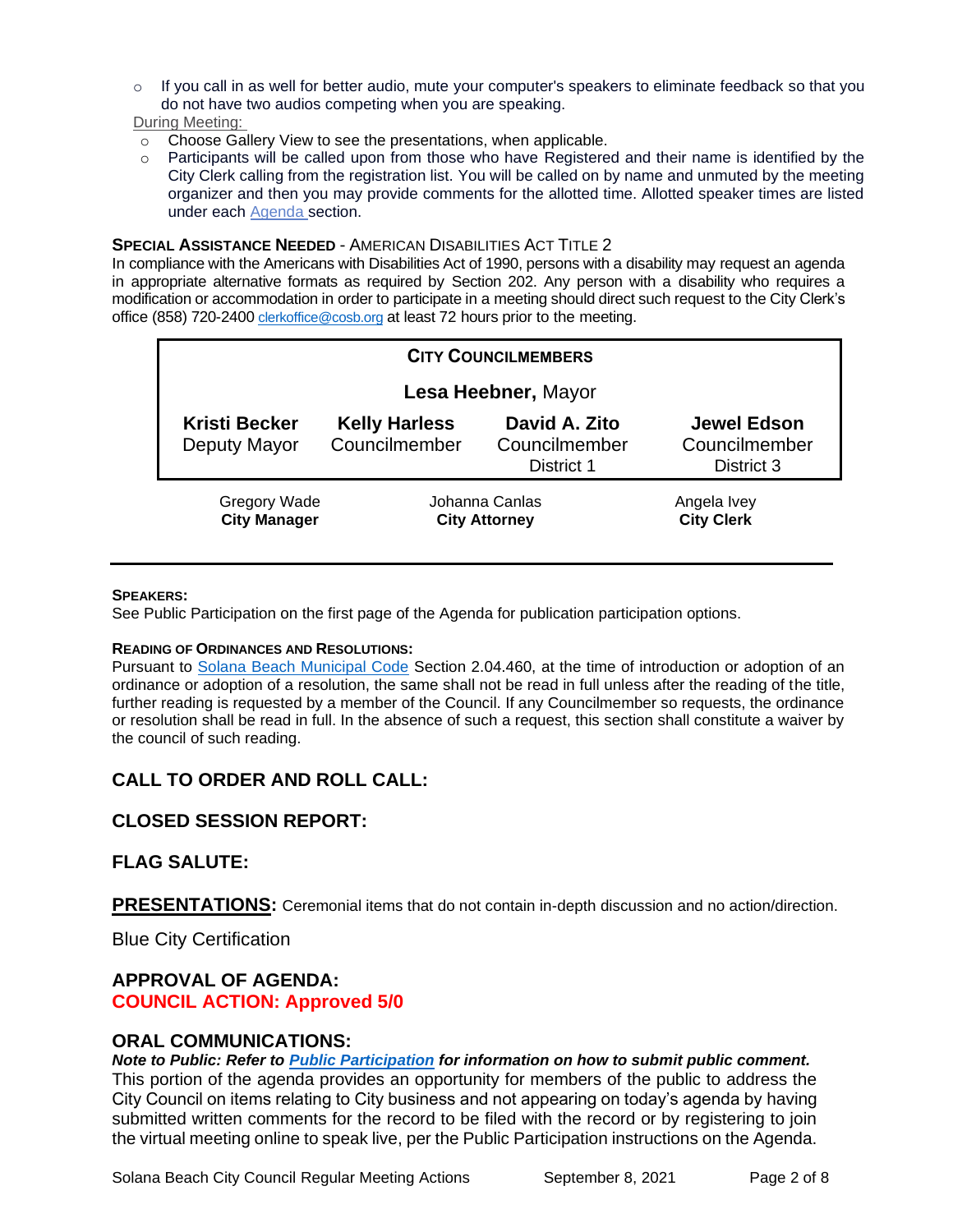$\circ$  If you call in as well for better audio, mute your computer's speakers to eliminate feedback so that you do not have two audios competing when you are speaking.

During Meeting:

- o Choose Gallery View to see the presentations, when applicable.
- $\circ$  Participants will be called upon from those who have Registered and their name is identified by the City Clerk calling from the registration list. You will be called on by name and unmuted by the meeting organizer and then you may provide comments for the allotted time. Allotted speaker times are listed under each [Agenda s](https://urldefense.proofpoint.com/v2/url?u=https-3A__www.ci.solana-2Dbeach.ca.us_index.asp-3FSEC-3DF0F1200D-2D21C6-2D4A88-2D8AE1-2D0BC07C1A81A7-26Type-3DB-5FBASIC&d=DwMFaQ&c=euGZstcaTDllvimEN8b7jXrwqOf-v5A_CdpgnVfiiMM&r=1XAsCUuqwK_tji2t0s1uIQ&m=C7WzXfOw2_nkEFMJClT55zZsF4tmIf_7KTn0o1WpYqI&s=3DcsWExM2_nx_xpvFtXslUjphiXd0MDCCF18y_Qy5yU&e=)ection.

#### **SPECIAL ASSISTANCE NEEDED** - AMERICAN DISABILITIES ACT TITLE 2

In compliance with the Americans with Disabilities Act of 1990, persons with a disability may request an agenda in appropriate alternative formats as required by Section 202. Any person with a disability who requires a modification or accommodation in order to participate in a meeting should direct such request to the City Clerk's office (858) 720-2400 [clerkoffice@cosb.org](mailto:EMAILGRP-CityClerksOfc@cosb.org) at least 72 hours prior to the meeting.

| <b>CITY COUNCILMEMBERS</b>           |                                        |                                              |                                                   |  |
|--------------------------------------|----------------------------------------|----------------------------------------------|---------------------------------------------------|--|
| Lesa Heebner, Mayor                  |                                        |                                              |                                                   |  |
| <b>Kristi Becker</b><br>Deputy Mayor | <b>Kelly Harless</b><br>Councilmember  | David A. Zito<br>Councilmember<br>District 1 | <b>Jewel Edson</b><br>Councilmember<br>District 3 |  |
| Gregory Wade<br><b>City Manager</b>  | Johanna Canlas<br><b>City Attorney</b> |                                              | Angela Ivey<br><b>City Clerk</b>                  |  |

#### **SPEAKERS:**

See Public Participation on the first page of the Agenda for publication participation options.

#### **READING OF ORDINANCES AND RESOLUTIONS:**

Pursuant to [Solana Beach Municipal Code](https://www.codepublishing.com/CA/SolanaBeach/) Section 2.04.460, at the time of introduction or adoption of an ordinance or adoption of a resolution, the same shall not be read in full unless after the reading of the title, further reading is requested by a member of the Council. If any Councilmember so requests, the ordinance or resolution shall be read in full. In the absence of such a request, this section shall constitute a waiver by the council of such reading.

## **CALL TO ORDER AND ROLL CALL:**

## **CLOSED SESSION REPORT:**

#### **FLAG SALUTE:**

**PRESENTATIONS:** Ceremonial items that do not contain in-depth discussion and no action/direction.

Blue City Certification

#### **APPROVAL OF AGENDA: COUNCIL ACTION: Approved 5/0**

#### **ORAL COMMUNICATIONS:**

*Note to Public: Refer to Public Participation for information on how to submit public comment.* 

This portion of the agenda provides an opportunity for members of the public to address the City Council on items relating to City business and not appearing on today's agenda by having submitted written comments for the record to be filed with the record or by registering to join the virtual meeting online to speak live, per the Public Participation instructions on the Agenda.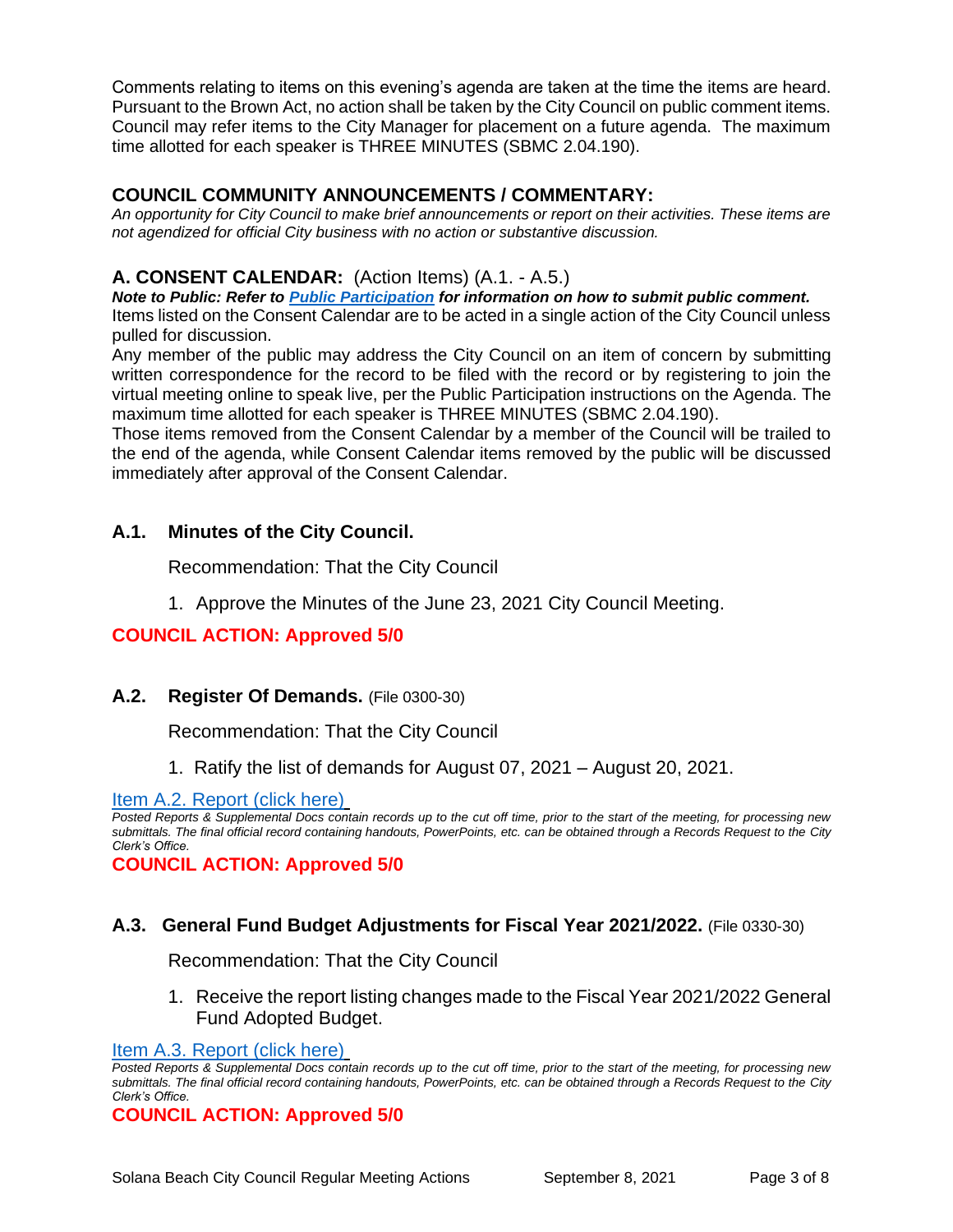Comments relating to items on this evening's agenda are taken at the time the items are heard. Pursuant to the Brown Act, no action shall be taken by the City Council on public comment items. Council may refer items to the City Manager for placement on a future agenda. The maximum time allotted for each speaker is THREE MINUTES (SBMC 2.04.190).

# **COUNCIL COMMUNITY ANNOUNCEMENTS / COMMENTARY:**

*An opportunity for City Council to make brief announcements or report on their activities. These items are not agendized for official City business with no action or substantive discussion.* 

# **A. CONSENT CALENDAR:** (Action Items) (A.1. - A.5.)

*Note to Public: Refer to Public Participation for information on how to submit public comment.*  Items listed on the Consent Calendar are to be acted in a single action of the City Council unless pulled for discussion.

Any member of the public may address the City Council on an item of concern by submitting written correspondence for the record to be filed with the record or by registering to join the virtual meeting online to speak live, per the Public Participation instructions on the Agenda. The maximum time allotted for each speaker is THREE MINUTES (SBMC 2.04.190).

Those items removed from the Consent Calendar by a member of the Council will be trailed to the end of the agenda, while Consent Calendar items removed by the public will be discussed immediately after approval of the Consent Calendar.

## **A.1. Minutes of the City Council.**

Recommendation: That the City Council

1. Approve the Minutes of the June 23, 2021 City Council Meeting.

# **COUNCIL ACTION: Approved 5/0**

## **A.2. Register Of Demands.** (File 0300-30)

Recommendation: That the City Council

1. Ratify the list of demands for August 07, 2021 – August 20, 2021.

[Item A.2. Report \(click here\)](https://solanabeach.govoffice3.com/vertical/Sites/%7B840804C2-F869-4904-9AE3-720581350CE7%7D/uploads/Item_A.2._Report_(click_here)_-_09-08-21_-_O.pdf)

*Posted Reports & Supplemental Docs contain records up to the cut off time, prior to the start of the meeting, for processing new submittals. The final official record containing handouts, PowerPoints, etc. can be obtained through a Records Request to the City Clerk's Office.*

**COUNCIL ACTION: Approved 5/0**

## **A.3. General Fund Budget Adjustments for Fiscal Year 2021/2022.** (File 0330-30)

Recommendation: That the City Council

1. Receive the report listing changes made to the Fiscal Year 2021/2022 General Fund Adopted Budget.

#### [Item A.3. Report \(click here\)](https://solanabeach.govoffice3.com/vertical/Sites/%7B840804C2-F869-4904-9AE3-720581350CE7%7D/uploads/Item_A.3._Report_(click_here)_-_09-08-21_-_O.pdf)

*Posted Reports & Supplemental Docs contain records up to the cut off time, prior to the start of the meeting, for processing new submittals. The final official record containing handouts, PowerPoints, etc. can be obtained through a Records Request to the City Clerk's Office.*

**COUNCIL ACTION: Approved 5/0**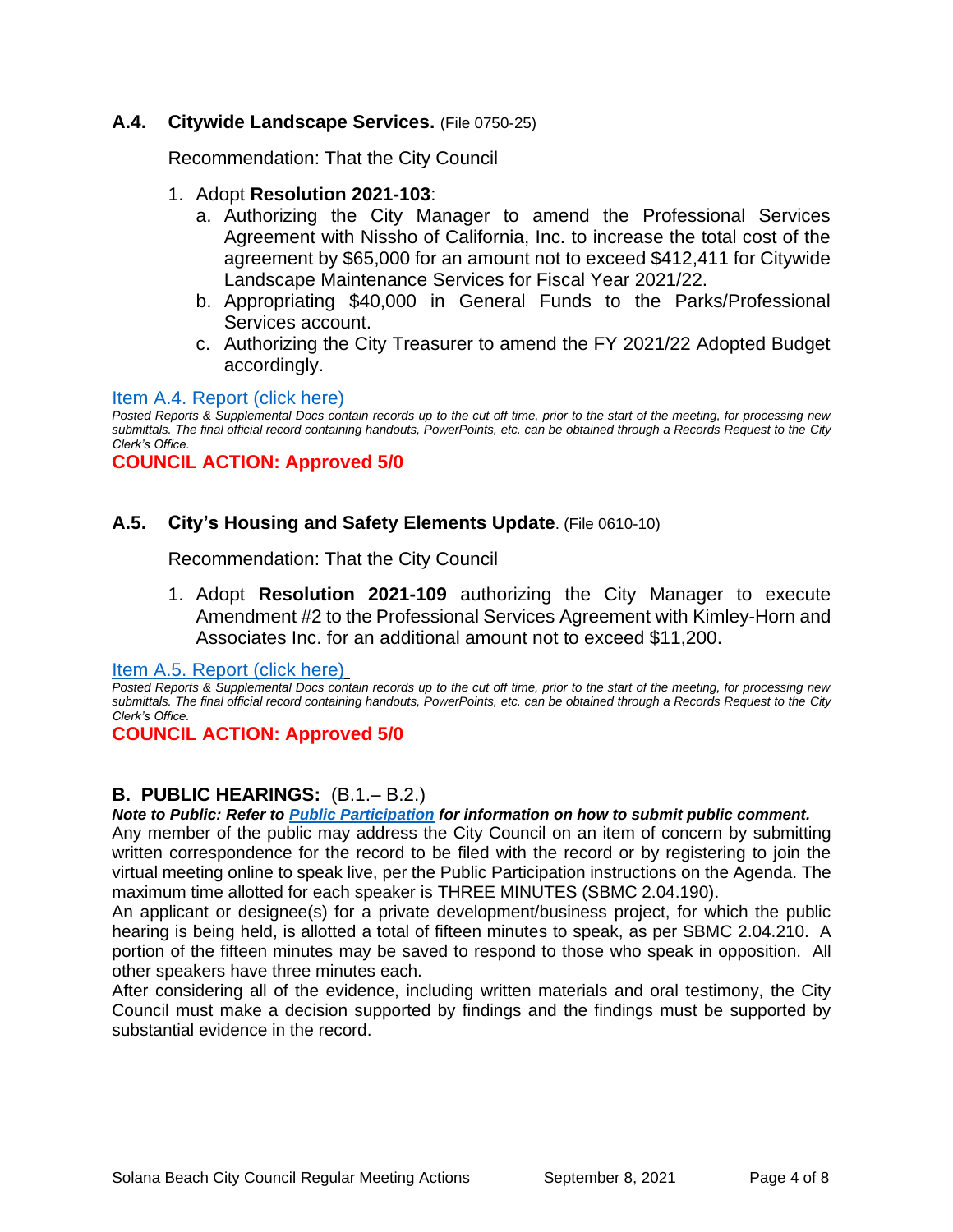#### **A.4. Citywide Landscape Services.** (File 0750-25)

Recommendation: That the City Council

#### 1. Adopt **Resolution 2021-103**:

- a. Authorizing the City Manager to amend the Professional Services Agreement with Nissho of California, Inc. to increase the total cost of the agreement by \$65,000 for an amount not to exceed \$412,411 for Citywide Landscape Maintenance Services for Fiscal Year 2021/22.
- b. Appropriating \$40,000 in General Funds to the Parks/Professional Services account.
- c. Authorizing the City Treasurer to amend the FY 2021/22 Adopted Budget accordingly.

#### [Item A.4. Report \(click here\)](https://solanabeach.govoffice3.com/vertical/Sites/%7B840804C2-F869-4904-9AE3-720581350CE7%7D/uploads/Item_A.4._Report_(click_here)_-_09-08-21_-_O.pdf)

*Posted Reports & Supplemental Docs contain records up to the cut off time, prior to the start of the meeting, for processing new submittals. The final official record containing handouts, PowerPoints, etc. can be obtained through a Records Request to the City Clerk's Office.*

#### **COUNCIL ACTION: Approved 5/0**

## **A.5. City's Housing and Safety Elements Update**. (File 0610-10)

Recommendation: That the City Council

1. Adopt **Resolution 2021-109** authorizing the City Manager to execute Amendment #2 to the Professional Services Agreement with Kimley-Horn and Associates Inc. for an additional amount not to exceed \$11,200.

[Item A.5. Report \(click here\)](https://solanabeach.govoffice3.com/vertical/Sites/%7B840804C2-F869-4904-9AE3-720581350CE7%7D/uploads/Item_A.5._Report_(click_here)_-_09-08-21_-_O.pdf)

*Posted Reports & Supplemental Docs contain records up to the cut off time, prior to the start of the meeting, for processing new submittals. The final official record containing handouts, PowerPoints, etc. can be obtained through a Records Request to the City Clerk's Office.*

#### **COUNCIL ACTION: Approved 5/0**

#### **B. PUBLIC HEARINGS:** (B.1.– B.2.)

*Note to Public: Refer to Public Participation for information on how to submit public comment.* 

Any member of the public may address the City Council on an item of concern by submitting written correspondence for the record to be filed with the record or by registering to join the virtual meeting online to speak live, per the Public Participation instructions on the Agenda. The maximum time allotted for each speaker is THREE MINUTES (SBMC 2.04.190).

An applicant or designee(s) for a private development/business project, for which the public hearing is being held, is allotted a total of fifteen minutes to speak, as per SBMC 2.04.210. A portion of the fifteen minutes may be saved to respond to those who speak in opposition. All other speakers have three minutes each.

After considering all of the evidence, including written materials and oral testimony, the City Council must make a decision supported by findings and the findings must be supported by substantial evidence in the record.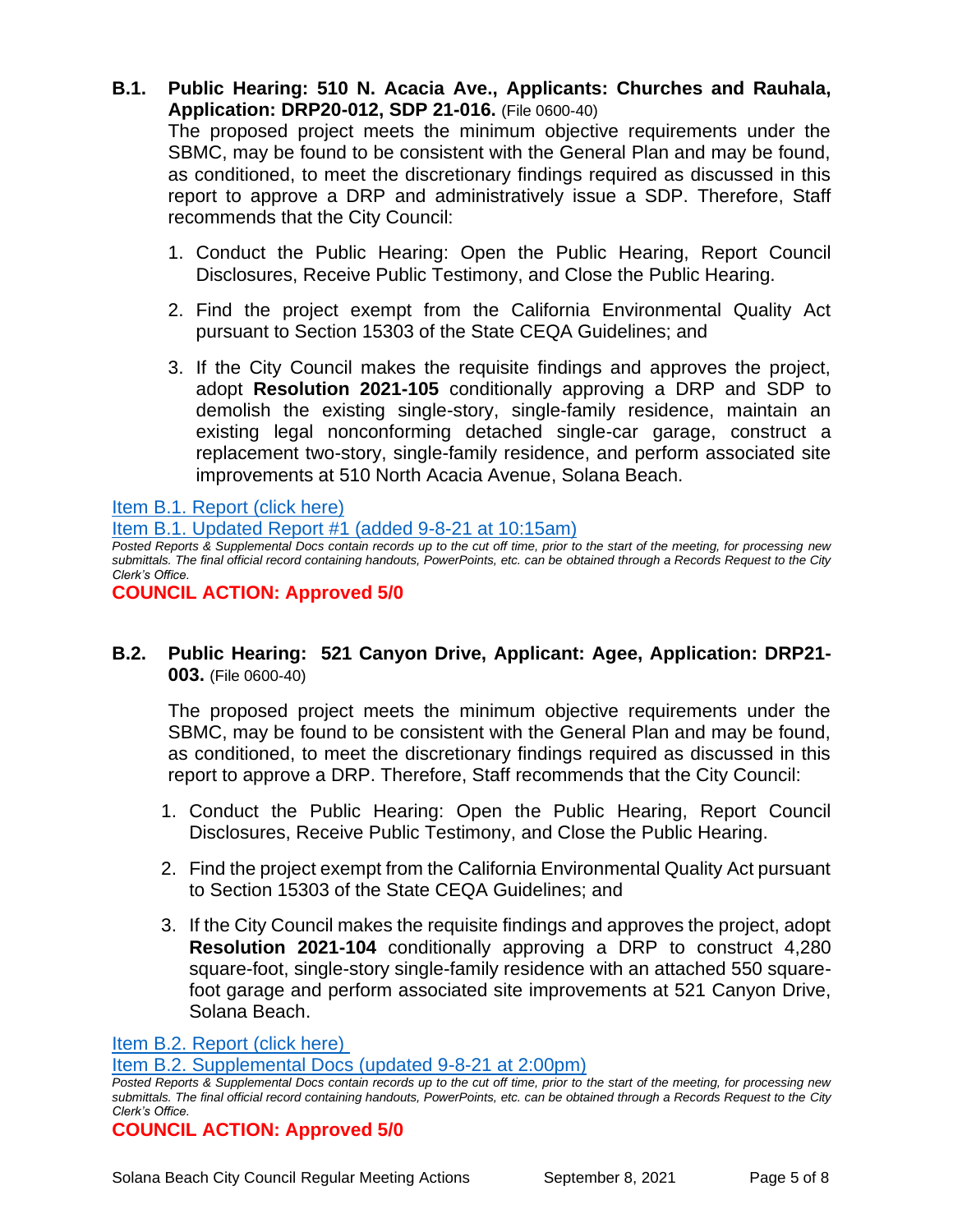**B.1. Public Hearing: 510 N. Acacia Ave., Applicants: Churches and Rauhala, Application: DRP20-012, SDP 21-016.** (File 0600-40)

The proposed project meets the minimum objective requirements under the SBMC, may be found to be consistent with the General Plan and may be found, as conditioned, to meet the discretionary findings required as discussed in this report to approve a DRP and administratively issue a SDP. Therefore, Staff recommends that the City Council:

- 1. Conduct the Public Hearing: Open the Public Hearing, Report Council Disclosures, Receive Public Testimony, and Close the Public Hearing.
- 2. Find the project exempt from the California Environmental Quality Act pursuant to Section 15303 of the State CEQA Guidelines; and
- 3. If the City Council makes the requisite findings and approves the project, adopt **Resolution 2021-105** conditionally approving a DRP and SDP to demolish the existing single-story, single-family residence, maintain an existing legal nonconforming detached single-car garage, construct a replacement two-story, single-family residence, and perform associated site improvements at 510 North Acacia Avenue, Solana Beach.

[Item B.1. Report \(click here\)](https://solanabeach.govoffice3.com/vertical/Sites/%7B840804C2-F869-4904-9AE3-720581350CE7%7D/uploads/Item_B.1._Report_(click_here)_-_09-08-21_-_O.pdf)

[Item B.1. Updated Report #1 \(added 9-8-21 at 10:15am\)](https://solanabeach.govoffice3.com/vertical/Sites/%7B840804C2-F869-4904-9AE3-720581350CE7%7D/uploads/Item_B.1._Updated_Report_1_(9-8_at_10am)_-_O.pdf)

*Posted Reports & Supplemental Docs contain records up to the cut off time, prior to the start of the meeting, for processing new submittals. The final official record containing handouts, PowerPoints, etc. can be obtained through a Records Request to the City Clerk's Office.*

#### **COUNCIL ACTION: Approved 5/0**

## **B.2. Public Hearing: 521 Canyon Drive, Applicant: Agee, Application: DRP21- 003.** (File 0600-40)

The proposed project meets the minimum objective requirements under the SBMC, may be found to be consistent with the General Plan and may be found, as conditioned, to meet the discretionary findings required as discussed in this report to approve a DRP. Therefore, Staff recommends that the City Council:

- 1. Conduct the Public Hearing: Open the Public Hearing, Report Council Disclosures, Receive Public Testimony, and Close the Public Hearing.
- 2. Find the project exempt from the California Environmental Quality Act pursuant to Section 15303 of the State CEQA Guidelines; and
- 3. If the City Council makes the requisite findings and approves the project, adopt **Resolution 2021-104** conditionally approving a DRP to construct 4,280 square-foot, single-story single-family residence with an attached 550 squarefoot garage and perform associated site improvements at 521 Canyon Drive, Solana Beach.

[Item B.2. Report \(click here\)](https://solanabeach.govoffice3.com/vertical/Sites/%7B840804C2-F869-4904-9AE3-720581350CE7%7D/uploads/Item_B.2._Report_(click_here)_-_09-08-21_-_O.pdf)

[Item B.2. Supplemental Docs \(updated 9-8-21 at 2:00pm\)](https://solanabeach.govoffice3.com/vertical/Sites/%7B840804C2-F869-4904-9AE3-720581350CE7%7D/uploads/Item_B.2._Supplemental_Docs_(upd._9-8_at_105pm)_-_O.pdf)

```
COUNCIL ACTION: Approved 5/0
```
*Posted Reports & Supplemental Docs contain records up to the cut off time, prior to the start of the meeting, for processing new submittals. The final official record containing handouts, PowerPoints, etc. can be obtained through a Records Request to the City Clerk's Office.*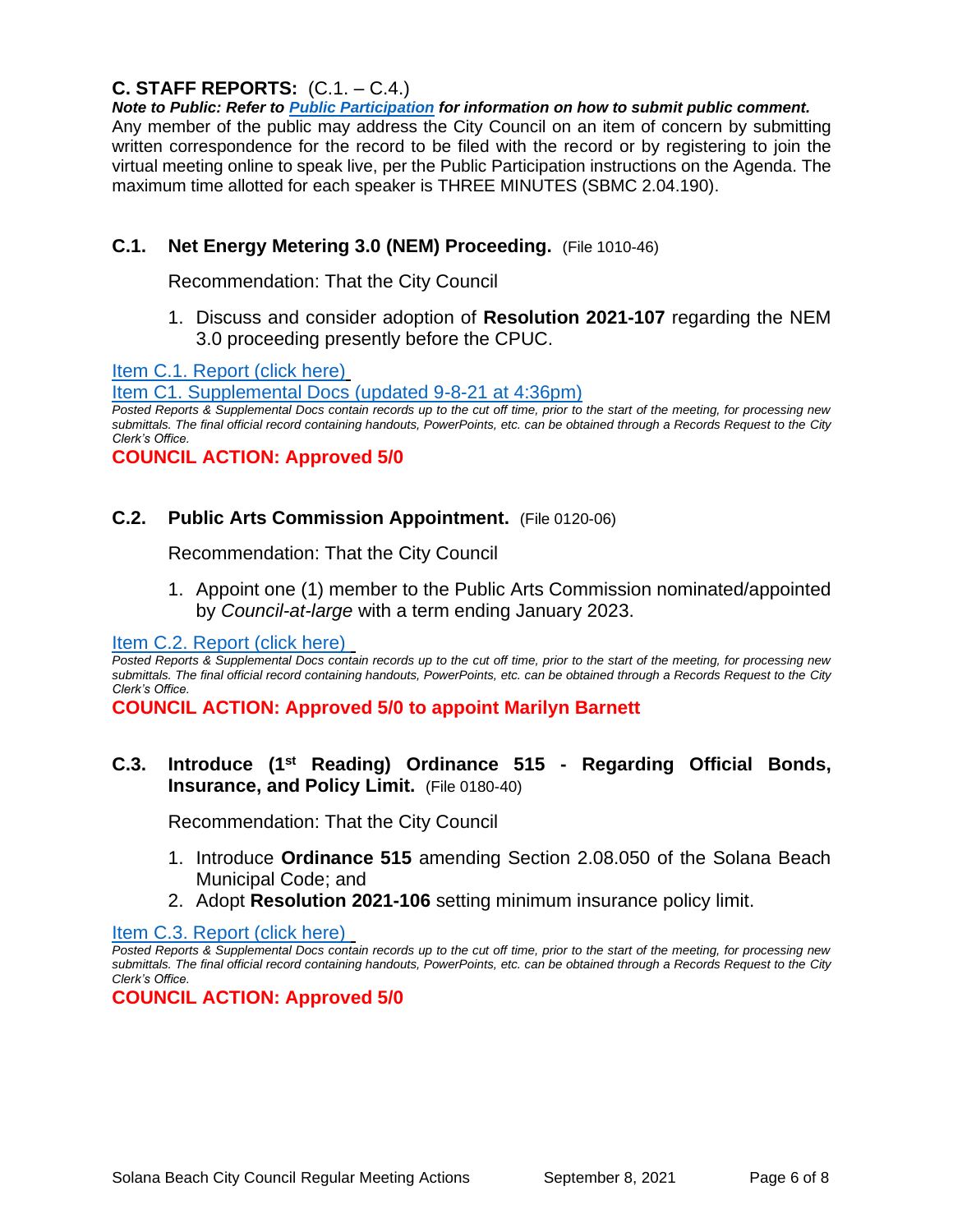# **C. STAFF REPORTS:** (C.1. – C.4.)

*Note to Public: Refer to Public Participation for information on how to submit public comment.*  Any member of the public may address the City Council on an item of concern by submitting written correspondence for the record to be filed with the record or by registering to join the virtual meeting online to speak live, per the Public Participation instructions on the Agenda. The maximum time allotted for each speaker is THREE MINUTES (SBMC 2.04.190).

## **C.1. Net Energy Metering 3.0 (NEM) Proceeding.** (File 1010-46)

Recommendation: That the City Council

1. Discuss and consider adoption of **Resolution 2021-107** regarding the NEM 3.0 proceeding presently before the CPUC.

[Item C.1. Report \(click here\)](https://solanabeach.govoffice3.com/vertical/Sites/%7B840804C2-F869-4904-9AE3-720581350CE7%7D/uploads/Item_C.1._Report_(click_here)_-_09-08-21_-_O.pdf)

[Item C1. Supplemental Docs \(updated 9-8-21 at 4:36pm\)](https://solanabeach.govoffice3.com/vertical/Sites/%7B840804C2-F869-4904-9AE3-720581350CE7%7D/uploads/Item_C.1._Supplemental_Docs_(upd._9-8_at_436pm)_-_O.pdf)

*Posted Reports & Supplemental Docs contain records up to the cut off time, prior to the start of the meeting, for processing new submittals. The final official record containing handouts, PowerPoints, etc. can be obtained through a Records Request to the City Clerk's Office.*

#### **COUNCIL ACTION: Approved 5/0**

#### **C.2. Public Arts Commission Appointment.** (File 0120-06)

Recommendation: That the City Council

1. Appoint one (1) member to the Public Arts Commission nominated/appointed by *Council-at-large* with a term ending January 2023.

[Item C.2. Report](https://solanabeach.govoffice3.com/vertical/Sites/%7B840804C2-F869-4904-9AE3-720581350CE7%7D/uploads/Item_C.2._Report_(click_here)_-_09-08-21_-_O.pdf) (click here)

*Posted Reports & Supplemental Docs contain records up to the cut off time, prior to the start of the meeting, for processing new submittals. The final official record containing handouts, PowerPoints, etc. can be obtained through a Records Request to the City Clerk's Office.*

**COUNCIL ACTION: Approved 5/0 to appoint Marilyn Barnett**

#### **C.3. Introduce (1st Reading) Ordinance 515 - Regarding Official Bonds, Insurance, and Policy Limit.** (File 0180-40)

Recommendation: That the City Council

- 1. Introduce **Ordinance 515** amending Section 2.08.050 of the Solana Beach Municipal Code; and
- 2. Adopt **Resolution 2021-106** setting minimum insurance policy limit.

[Item C.3. Report \(click here\)](https://solanabeach.govoffice3.com/vertical/Sites/%7B840804C2-F869-4904-9AE3-720581350CE7%7D/uploads/Item_C.3._Report_(click_here)_-_09-08-21_-_O.pdf) 

**COUNCIL ACTION: Approved 5/0**

*Posted Reports & Supplemental Docs contain records up to the cut off time, prior to the start of the meeting, for processing new submittals. The final official record containing handouts, PowerPoints, etc. can be obtained through a Records Request to the City Clerk's Office.*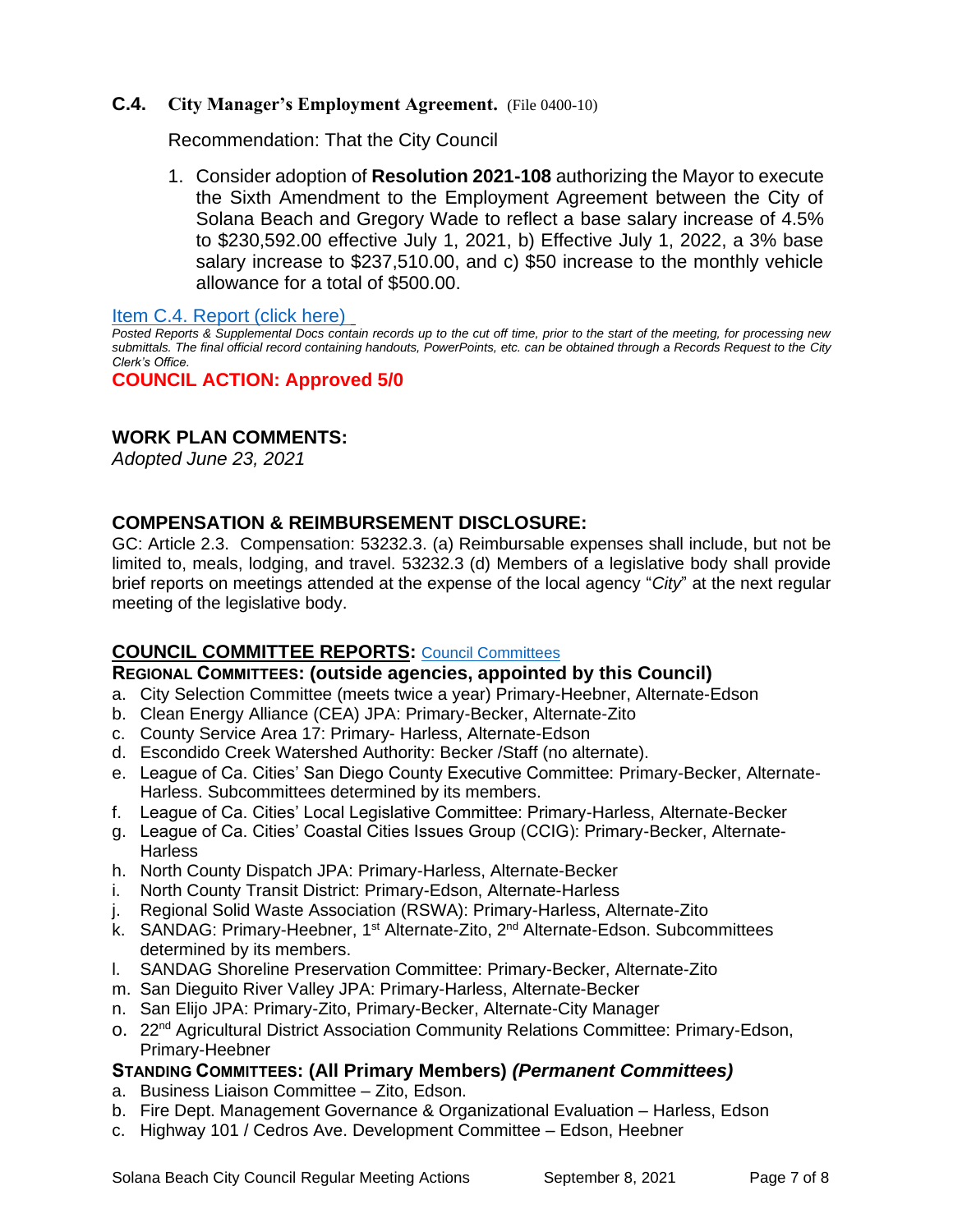#### **C.4. City Manager's Employment Agreement.** (File 0400-10)

Recommendation: That the City Council

1. Consider adoption of **Resolution 2021-108** authorizing the Mayor to execute the Sixth Amendment to the Employment Agreement between the City of Solana Beach and Gregory Wade to reflect a base salary increase of 4.5% to \$230,592.00 effective July 1, 2021, b) Effective July 1, 2022, a 3% base salary increase to \$237,510.00, and c) \$50 increase to the monthly vehicle allowance for a total of \$500.00.

[Item C.4. Report \(click here\)](https://solanabeach.govoffice3.com/vertical/Sites/%7B840804C2-F869-4904-9AE3-720581350CE7%7D/uploads/Item_C.4._Report_(click_here)_-_09-08-21_-_O.pdf) 

*Posted Reports & Supplemental Docs contain records up to the cut off time, prior to the start of the meeting, for processing new submittals. The final official record containing handouts, PowerPoints, etc. can be obtained through a Records Request to the City Clerk's Office.*

**COUNCIL ACTION: Approved 5/0**

## **WORK PLAN COMMENTS:**

*Adopted June 23, 2021*

#### **COMPENSATION & REIMBURSEMENT DISCLOSURE:**

GC: Article 2.3. Compensation: 53232.3. (a) Reimbursable expenses shall include, but not be limited to, meals, lodging, and travel. 53232.3 (d) Members of a legislative body shall provide brief reports on meetings attended at the expense of the local agency "*City*" at the next regular meeting of the legislative body.

## **COUNCIL COMMITTEE REPORTS:** [Council Committees](https://www.ci.solana-beach.ca.us/index.asp?SEC=584E1192-3850-46EA-B977-088AC3E81E0D&Type=B_BASIC)

#### **REGIONAL COMMITTEES: (outside agencies, appointed by this Council)**

- a. City Selection Committee (meets twice a year) Primary-Heebner, Alternate-Edson
- b. Clean Energy Alliance (CEA) JPA: Primary-Becker, Alternate-Zito
- c. County Service Area 17: Primary- Harless, Alternate-Edson
- d. Escondido Creek Watershed Authority: Becker /Staff (no alternate).
- e. League of Ca. Cities' San Diego County Executive Committee: Primary-Becker, Alternate-Harless. Subcommittees determined by its members.
- f. League of Ca. Cities' Local Legislative Committee: Primary-Harless, Alternate-Becker
- g. League of Ca. Cities' Coastal Cities Issues Group (CCIG): Primary-Becker, Alternate-**Harless**
- h. North County Dispatch JPA: Primary-Harless, Alternate-Becker
- i. North County Transit District: Primary-Edson, Alternate-Harless
- j. Regional Solid Waste Association (RSWA): Primary-Harless, Alternate-Zito
- k. SANDAG: Primary-Heebner, 1<sup>st</sup> Alternate-Zito, 2<sup>nd</sup> Alternate-Edson. Subcommittees determined by its members.
- l. SANDAG Shoreline Preservation Committee: Primary-Becker, Alternate-Zito
- m. San Dieguito River Valley JPA: Primary-Harless, Alternate-Becker
- n. San Elijo JPA: Primary-Zito, Primary-Becker, Alternate-City Manager
- o. 22nd Agricultural District Association Community Relations Committee: Primary-Edson, Primary-Heebner

#### **STANDING COMMITTEES: (All Primary Members)** *(Permanent Committees)*

- a. Business Liaison Committee Zito, Edson.
- b. Fire Dept. Management Governance & Organizational Evaluation Harless, Edson
- c. Highway 101 / Cedros Ave. Development Committee Edson, Heebner